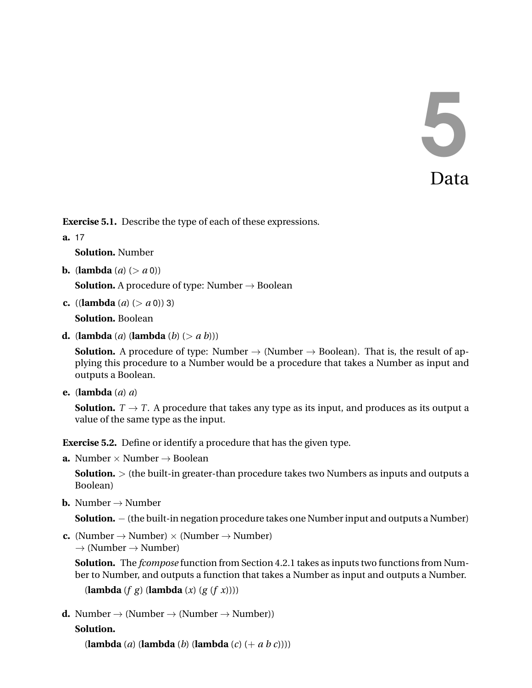# 5 Data

**Exercise 5.1.** Describe the type of each of these expressions.

**a.** 17

**Solution.** Number

**b.** (**lambda**  $(a)$  ( $>a$ **0**))

**Solution.** A procedure of type: Number  $\rightarrow$  Boolean

**c.** ((**lambda** (*a*) ( $>$  *a* 0)) 3)

**Solution.** Boolean

**d.** (**lambda** (*a*) (**lambda** (*b*) ( $>a$  *b*)))

**Solution.** A procedure of type: Number  $\rightarrow$  (Number  $\rightarrow$  Boolean). That is, the result of applying this procedure to a Number would be a procedure that takes a Number as input and outputs a Boolean.

**e.** (**lambda** (*a*) *a*)

**Solution.**  $T \rightarrow T$ . A procedure that takes any type as its input, and produces as its output a value of the same type as the input.

**Exercise 5.2.** Define or identify a procedure that has the given type.

**a.** Number  $\times$  Number  $\rightarrow$  Boolean

**Solution.**  $>$  (the built-in greater-than procedure takes two Numbers as inputs and outputs a Boolean)

**b.** Number  $\rightarrow$  Number

**Solution.** − (the built-in negation procedure takes one Number input and outputs a Number)

**c.** (Number  $\rightarrow$  Number)  $\times$  (Number  $\rightarrow$  Number)  $\rightarrow$  (Number  $\rightarrow$  Number)

**Solution.** The *fcompose* function from Section 4.2.1 takes as inputs two functions from Number to Number, and outputs a function that takes a Number as input and outputs a Number.

```
(lambda (f g) (lambda (x) (g (f x))))
```

```
d. Number \rightarrow (Number \rightarrow (Number \rightarrow Number))
```
# **Solution.**

(**lambda** (*a*) (**lambda** (*b*) (**lambda** (*c*) (+ *a b c*))))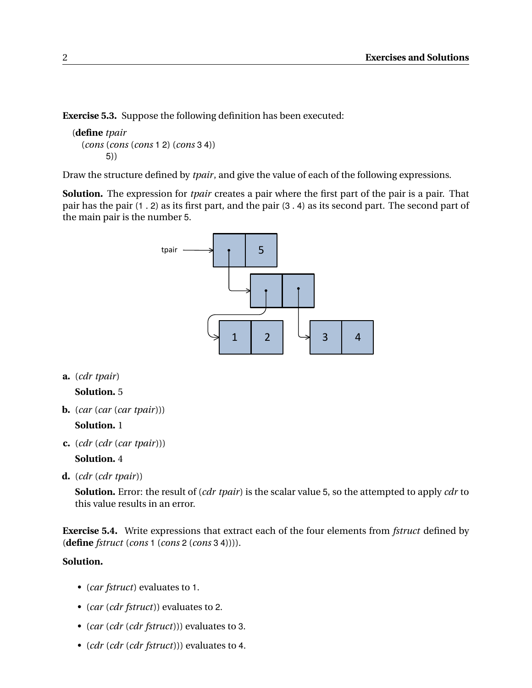**Exercise 5.3.** Suppose the following definition has been executed:

```
(define tpair
  (cons (cons (cons 1 2) (cons 3 4))
        5))
```
Draw the structure defined by *tpair*, and give the value of each of the following expressions.

**Solution.** The expression for *tpair* creates a pair where the first part of the pair is a pair. That pair has the pair (1 . 2) as its first part, and the pair (3 . 4) as its second part. The second part of the main pair is the number 5.



**a.** (*cdr tpair*)

**Solution.** 5

**b.** (*car* (*car* (*car tpair*)))

## **Solution.** 1

**c.** (*cdr* (*cdr* (*car tpair*)))

**Solution.** 4

**d.** (*cdr* (*cdr tpair*))

**Solution.** Error: the result of (*cdr tpair*) is the scalar value 5, so the attempted to apply *cdr* to this value results in an error.

**Exercise 5.4.** Write expressions that extract each of the four elements from *fstruct* defined by (**define** *fstruct* (*cons* 1 (*cons* 2 (*cons* 3 4)))).

# **Solution.**

- (*car fstruct*) evaluates to 1.
- (*car* (*cdr fstruct*)) evaluates to 2.
- (*car* (*cdr* (*cdr fstruct*))) evaluates to 3.
- (*cdr* (*cdr* (*cdr fstruct*))) evaluates to 4.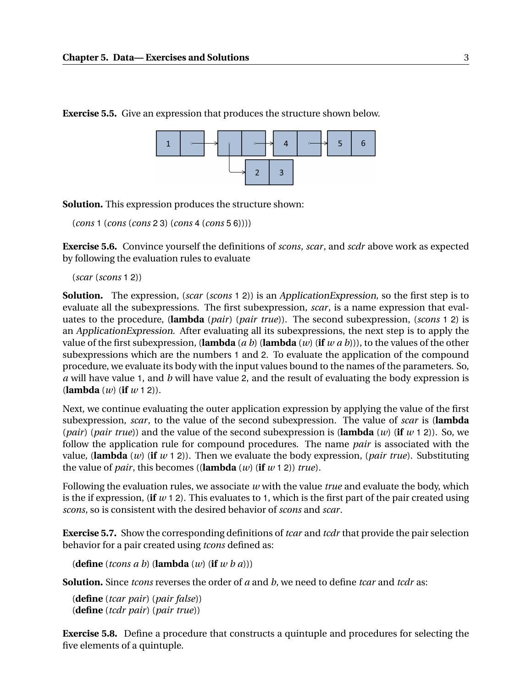

**Exercise 5.5.** Give an expression that produces the structure shown below.

**Solution.** This expression produces the structure shown:

(*cons* 1 (*cons* (*cons* 2 3) (*cons* 4 (*cons* 5 6))))

**Exercise 5.6.** Convince yourself the definitions of *scons*, *scar*, and *scdr* above work as expected by following the evaluation rules to evaluate

(*scar* (*scons* 1 2))

**Solution.** The expression, (*scar* (*scons* 1 2)) is an ApplicationExpression, so the first step is to evaluate all the subexpressions. The first subexpression, *scar*, is a name expression that evaluates to the procedure, (**lambda** (*pair*) (*pair true*)). The second subexpression, (*scons* 1 2) is an ApplicationExpression. After evaluating all its subexpressions, the next step is to apply the value of the first subexpression, (**lambda** (*a b*) (**lambda** (*w*) (**if** *w a b*))), to the values of the other subexpressions which are the numbers 1 and 2. To evaluate the application of the compound procedure, we evaluate its body with the input values bound to the names of the parameters. So, *a* will have value 1, and *b* will have value 2, and the result of evaluating the body expression is (**lambda** (*w*) (**if** *w* 1 2)).

Next, we continue evaluating the outer application expression by applying the value of the first subexpression, *scar*, to the value of the second subexpression. The value of *scar* is (**lambda** (*pair*) (*pair true*)) and the value of the second subexpression is (**lambda** (*w*) (**if** *w* 1 2)). So, we follow the application rule for compound procedures. The name *pair* is associated with the value, (**lambda** (*w*) (**if** *w* 1 2)). Then we evaluate the body expression, (*pair true*). Substituting the value of *pair*, this becomes ((**lambda** (*w*) (**if** *w* 1 2)) *true*).

Following the evaluation rules, we associate *w* with the value *true* and evaluate the body, which is the if expression, (**if**  $w$  1 2). This evaluates to 1, which is the first part of the pair created using *scons*, so is consistent with the desired behavior of *scons* and *scar*.

**Exercise 5.7.** Show the corresponding definitions of *tcar* and *tcdr* that provide the pair selection behavior for a pair created using *tcons* defined as:

(**define** (*tcons a b*) (**lambda** (*w*) (**if** *w b a*)))

**Solution.** Since *tcons* reverses the order of *a* and *b*, we need to define *tcar* and *tcdr* as:

(**define** (*tcar pair*) (*pair false*)) (**define** (*tcdr pair*) (*pair true*))

**Exercise 5.8.** Define a procedure that constructs a quintuple and procedures for selecting the five elements of a quintuple.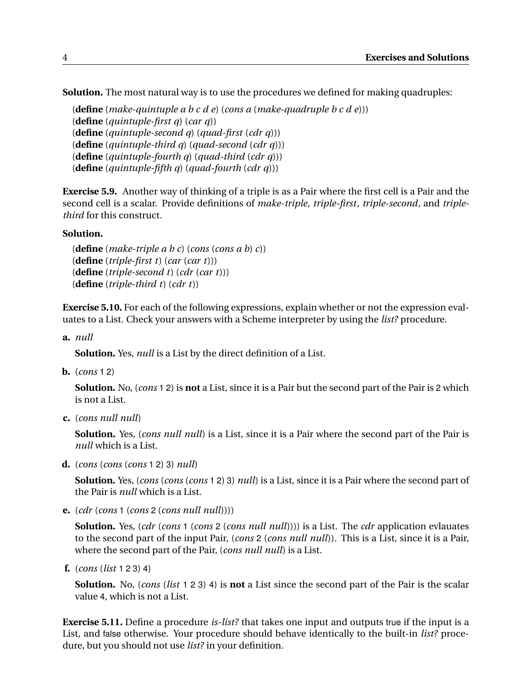**Solution.** The most natural way is to use the procedures we defined for making quadruples:

```
(define (make-quintuple a b c d e) (cons a (make-quadruple b c d e)))
(define (quintuple-first q) (car q))
(define (quintuple-second q) (quad-first (cdr q)))
(define (quintuple-third q) (quad-second (cdr q)))
(define (quintuple-fourth q) (quad-third (cdr q)))
(define (quintuple-fifth q) (quad-fourth (cdr q)))
```
**Exercise 5.9.** Another way of thinking of a triple is as a Pair where the first cell is a Pair and the second cell is a scalar. Provide definitions of *make-triple*, *triple-first*, *triple-second*, and *triplethird* for this construct.

#### **Solution.**

(**define** (*make-triple a b c*) (*cons* (*cons a b*) *c*)) (**define** (*triple-first t*) (*car* (*car t*))) (**define** (*triple-second t*) (*cdr* (*car t*))) (**define** (*triple-third t*) (*cdr t*))

**Exercise 5.10.** For each of the following expressions, explain whether or not the expression evaluates to a List. Check your answers with a Scheme interpreter by using the *list?* procedure.

**a.** *null*

**Solution.** Yes, *null* is a List by the direct definition of a List.

**b.** (*cons* 1 2)

**Solution.** No, (*cons* 1 2) is **not** a List, since it is a Pair but the second part of the Pair is 2 which is not a List.

**c.** (*cons null null*)

**Solution.** Yes, (*cons null null*) is a List, since it is a Pair where the second part of the Pair is *null* which is a List.

**d.** (*cons* (*cons* (*cons* 1 2) 3) *null*)

**Solution.** Yes, (*cons* (*cons* (*cons* 1 2) 3) *null*) is a List, since it is a Pair where the second part of the Pair is *null* which is a List.

**e.** (*cdr* (*cons* 1 (*cons* 2 (*cons null null*))))

**Solution.** Yes, (*cdr* (*cons* 1 (*cons* 2 (*cons null null*)))) is a List. The *cdr* application evlauates to the second part of the input Pair, (*cons* 2 (*cons null null*)). This is a List, since it is a Pair, where the second part of the Pair, (*cons null null*) is a List.

**f.** (*cons* (*list* 1 2 3) 4)

**Solution.** No, (*cons* (*list* 1 2 3) 4) is **not** a List since the second part of the Pair is the scalar value 4, which is not a List.

**Exercise 5.11.** Define a procedure *is-list?* that takes one input and outputs true if the input is a List, and false otherwise. Your procedure should behave identically to the built-in *list?* procedure, but you should not use *list?* in your definition.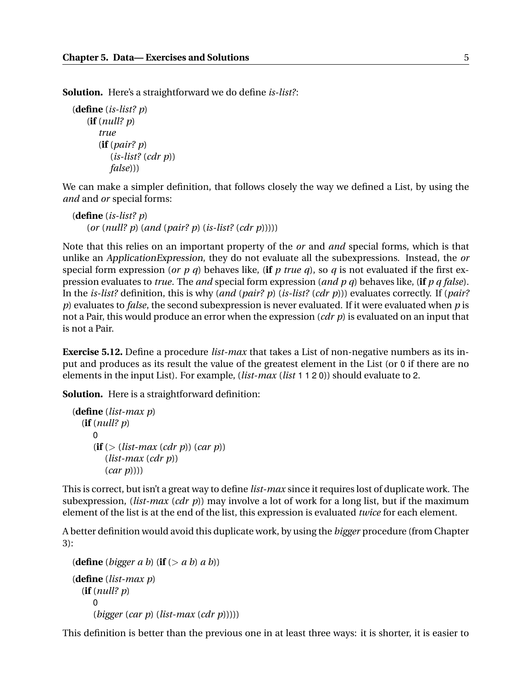**Solution.** Here's a straightforward we do define *is-list?*:

(**define** (*is-list? p*) (**if** (*null? p*) *true* (**if** (*pair? p*) (*is-list?* (*cdr p*)) *false*)))

We can make a simpler definition, that follows closely the way we defined a List, by using the *and* and *or* special forms:

(**define** (*is-list? p*) (*or* (*null? p*) (*and* (*pair? p*) (*is-list?* (*cdr p*)))))

Note that this relies on an important property of the *or* and *and* special forms, which is that unlike an ApplicationExpression, they do not evaluate all the subexpressions. Instead, the *or* special form expression (*or p q*) behaves like, (**if** *p* true *q*), so *q* is not evaluated if the first expression evaluates to *true*. The *and* special form expression (*and p q*) behaves like, (**if** *p q false*). In the *is-list?* definition, this is why (*and* (*pair? p*) (*is-list?* (*cdr p*))) evaluates correctly. If (*pair? p*) evaluates to *false*, the second subexpression is never evaluated. If it were evaluated when *p* is not a Pair, this would produce an error when the expression (*cdr p*) is evaluated on an input that is not a Pair.

**Exercise 5.12.** Define a procedure *list-max* that takes a List of non-negative numbers as its input and produces as its result the value of the greatest element in the List (or 0 if there are no elements in the input List). For example, (*list-max* (*list* 1 1 2 0)) should evaluate to 2.

**Solution.** Here is a straightforward definition:

```
(define (list-max p)
  (if (null? p)
     0
     (i\mathbf{f} \geq (list-max (cdr p)) (car p))(list-max (cdr p))
         (car p))))
```
This is correct, but isn't a great way to define *list-max* since it requires lost of duplicate work. The subexpression, (*list-max* (*cdr p*)) may involve a lot of work for a long list, but if the maximum element of the list is at the end of the list, this expression is evaluated *twice* for each element.

A better definition would avoid this duplicate work, by using the *bigger* procedure (from Chapter 3):

```
(define (bigger a b) (if (> a b) a b))
(define (list-max p)
  (if (null? p)
     0
     (bigger (car p) (list-max (cdr p)))))
```
This definition is better than the previous one in at least three ways: it is shorter, it is easier to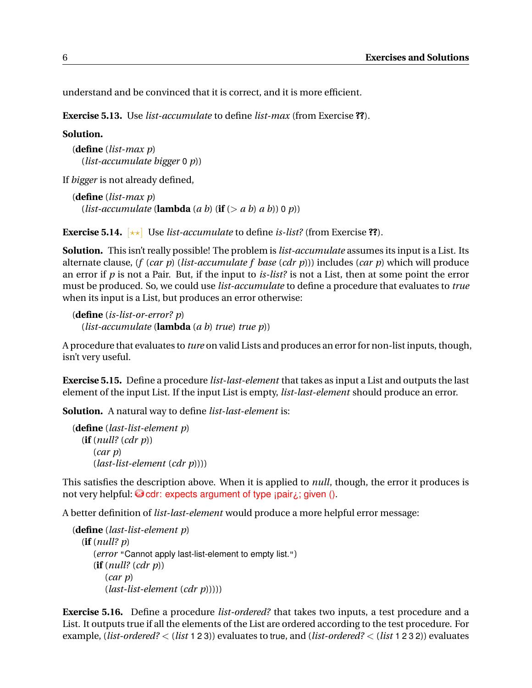understand and be convinced that it is correct, and it is more efficient.

**Exercise 5.13.** Use *list-accumulate* to define *list-max* (from Exercise **??**).

**Solution.**

(**define** (*list-max p*) (*list-accumulate bigger* 0 *p*))

If *bigger* is not already defined,

```
(define (list-max p)
  (list-accumulate (lambda (a\ b) (if (> a\ b) (a\ b)) (0\ p))
```
**Exercise 5.14.** [??] Use *list-accumulate* to define *is-list?* (from Exercise **??**).

**Solution.** This isn't really possible! The problem is *list-accumulate* assumes its input is a List. Its alternate clause, (*f* (*car p*) (*list-accumulate f base* (*cdr p*))) includes (*car p*) which will produce an error if *p* is not a Pair. But, if the input to *is-list?* is not a List, then at some point the error must be produced. So, we could use *list-accumulate* to define a procedure that evaluates to *true* when its input is a List, but produces an error otherwise:

(**define** (*is-list-or-error? p*) (*list-accumulate* (**lambda** (*a b*) *true*) *true p*))

A procedure that evaluates to *ture* on valid Lists and produces an error for non-list inputs, though, isn't very useful.

**Exercise 5.15.** Define a procedure *list-last-element* that takes as input a List and outputs the last element of the input List. If the input List is empty, *list-last-element* should produce an error.

**Solution.** A natural way to define *list-last-element* is:

```
(define (last-list-element p)
  (if (null? (cdr p))
     (car p)
     (last-list-element (cdr p))))
```
This satisfies the description above. When it is applied to *null*, though, the error it produces is not very helpful:  $\bullet$  cdr: expects argument of type  $\alpha$  ipair $\lambda$ ; given ().

A better definition of *list-last-element* would produce a more helpful error message:

```
(define (last-list-element p)
  (if (null? p)
     (error "Cannot apply last-list-element to empty list.")
     (if (null? (cdr p))
        (car p)
        (last-list-element (cdr p)))))
```
**Exercise 5.16.** Define a procedure *list-ordered?* that takes two inputs, a test procedure and a List. It outputs true if all the elements of the List are ordered according to the test procedure. For example, (*list-ordered?* < (*list* 1 2 3)) evaluates to true, and (*list-ordered?* < (*list* 1 2 3 2)) evaluates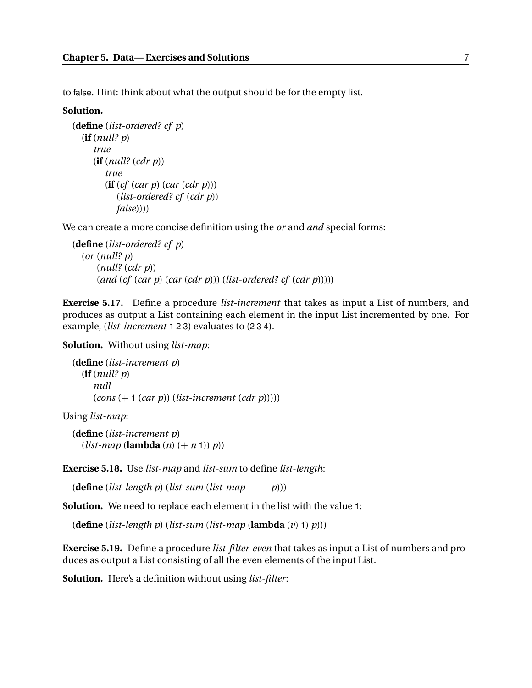to false. Hint: think about what the output should be for the empty list.

#### **Solution.**

```
(define (list-ordered? cf p)
  (if (null? p)
     true
     (if (null? (cdr p))
        true
        (if (cf (car p) (car (cdr p)))
           (list-ordered? cf (cdr p))
           false))))
```
We can create a more concise definition using the *or* and *and* special forms:

```
(define (list-ordered? cf p)
  (or (null? p)
      (null? (cdr p))
      (and (cf (car p) (car (cdr p))) (list-ordered? cf (cdr p)))))
```
**Exercise 5.17.** Define a procedure *list-increment* that takes as input a List of numbers, and produces as output a List containing each element in the input List incremented by one. For example, (*list-increment* 1 2 3) evaluates to (2 3 4).

**Solution.** Without using *list-map*:

```
(define (list-increment p)
  (if (null? p)
     null
     (cons (+ 1 (car p)) (list-increment (cdr p)))))
```
Using *list-map*:

(**define** (*list-increment p*)  $(listr-map$  (**lambda**  $(n)$   $(+ n 1)$ )  $p$ )

**Exercise 5.18.** Use *list-map* and *list-sum* to define *list-length*:

(**define** (*list-length p*) (*list-sum* (*list-map p*)))

**Solution.** We need to replace each element in the list with the value 1:

(**define** (*list-length p*) (*list-sum* (*list-map* (**lambda** (*v*) 1) *p*)))

**Exercise 5.19.** Define a procedure *list-filter-even* that takes as input a List of numbers and produces as output a List consisting of all the even elements of the input List.

**Solution.** Here's a definition without using *list-filter*: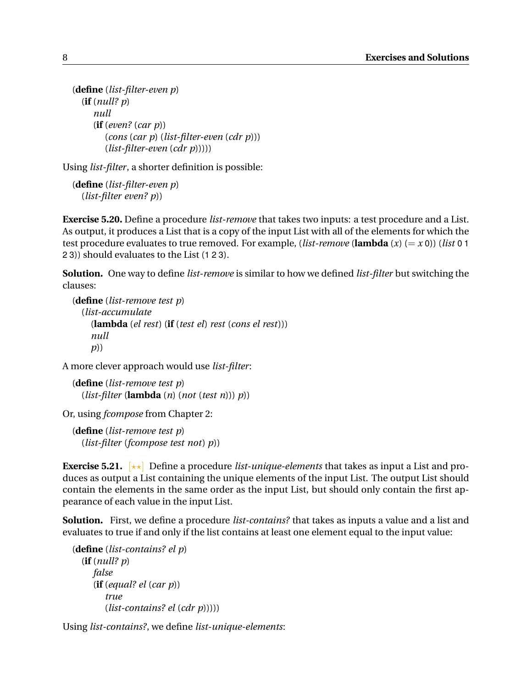```
(define (list-filter-even p)
  (if (null? p)
     null
     (if (even? (car p))
        (cons (car p) (list-filter-even (cdr p)))
        (list-filter-even (cdr p)))))
```
Using *list-filter*, a shorter definition is possible:

(**define** (*list-filter-even p*) (*list-filter even? p*))

**Exercise 5.20.** Define a procedure *list-remove* that takes two inputs: a test procedure and a List. As output, it produces a List that is a copy of the input List with all of the elements for which the test procedure evaluates to true removed. For example, (*list-remove* (**lambda** (*x*) (= *x* 0)) (*list* 0 1 2 3)) should evaluates to the List (1 2 3).

**Solution.** One way to define *list-remove* is similar to how we defined *list-filter* but switching the clauses:

```
(define (list-remove test p)
  (list-accumulate
    (lambda (el rest) (if (test el) rest (cons el rest)))
    null
    p))
```
A more clever approach would use *list-filter*:

```
(define (list-remove test p)
  (list-filter (lambda (n) (not (test n))) p))
```
Or, using *fcompose* from Chapter 2:

(**define** (*list-remove test p*) (*list-filter* (*fcompose test not*) *p*))

**Exercise 5.21.**  $\begin{bmatrix} \star \star \end{bmatrix}$  Define a procedure *list-unique-elements* that takes as input a List and produces as output a List containing the unique elements of the input List. The output List should contain the elements in the same order as the input List, but should only contain the first appearance of each value in the input List.

**Solution.** First, we define a procedure *list-contains?* that takes as inputs a value and a list and evaluates to true if and only if the list contains at least one element equal to the input value:

```
(define (list-contains? el p)
  (if (null? p)
     false
     (if (equal? el (car p))
        true
        (list-contains? el (cdr p)))))
```
Using *list-contains?*, we define *list-unique-elements*: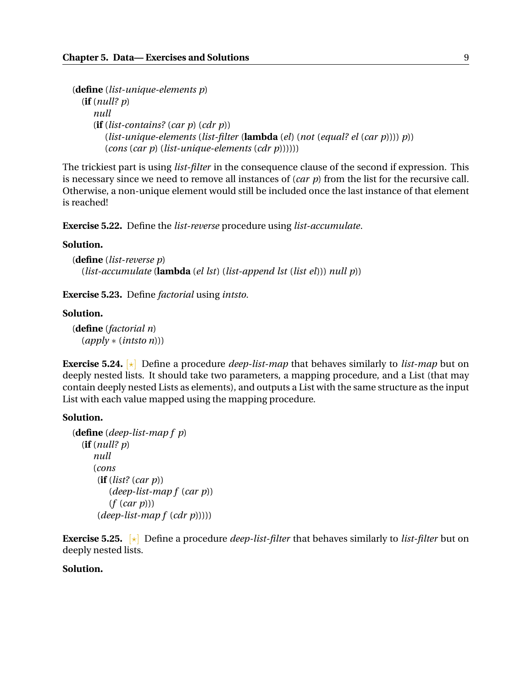```
(define (list-unique-elements p)
  (if (null? p)
     null
     (if (list-contains? (car p) (cdr p))
        (list-unique-elements (list-filter (lambda (el) (not (equal? el (car p)))) p))
        (cons (car p) (list-unique-elements (cdr p))))))
```
The trickiest part is using *list-filter* in the consequence clause of the second if expression. This is necessary since we need to remove all instances of (*car p*) from the list for the recursive call. Otherwise, a non-unique element would still be included once the last instance of that element is reached!

**Exercise 5.22.** Define the *list-reverse* procedure using *list-accumulate*.

#### **Solution.**

```
(define (list-reverse p)
  (list-accumulate (lambda (el lst) (list-append lst (list el))) null p))
```
**Exercise 5.23.** Define *factorial* using *intsto*.

#### **Solution.**

(**define** (*factorial n*) (*apply* ∗ (*intsto n*)))

**Exercise 5.24.** [?] Define a procedure *deep-list-map* that behaves similarly to *list-map* but on deeply nested lists. It should take two parameters, a mapping procedure, and a List (that may contain deeply nested Lists as elements), and outputs a List with the same structure as the input List with each value mapped using the mapping procedure.

#### **Solution.**

```
(define (deep-list-map f p)
  (if (null? p)
     null
     (cons
      (if (list? (car p))
         (deep-list-map f (car p))
         (f (car p)))
      (deep-list-map f (cdr p)))))
```
**Exercise 5.25.**  $\lbrack \star \rbrack$  Define a procedure *deep-list-filter* that behaves similarly to *list-filter* but on deeply nested lists.

### **Solution.**